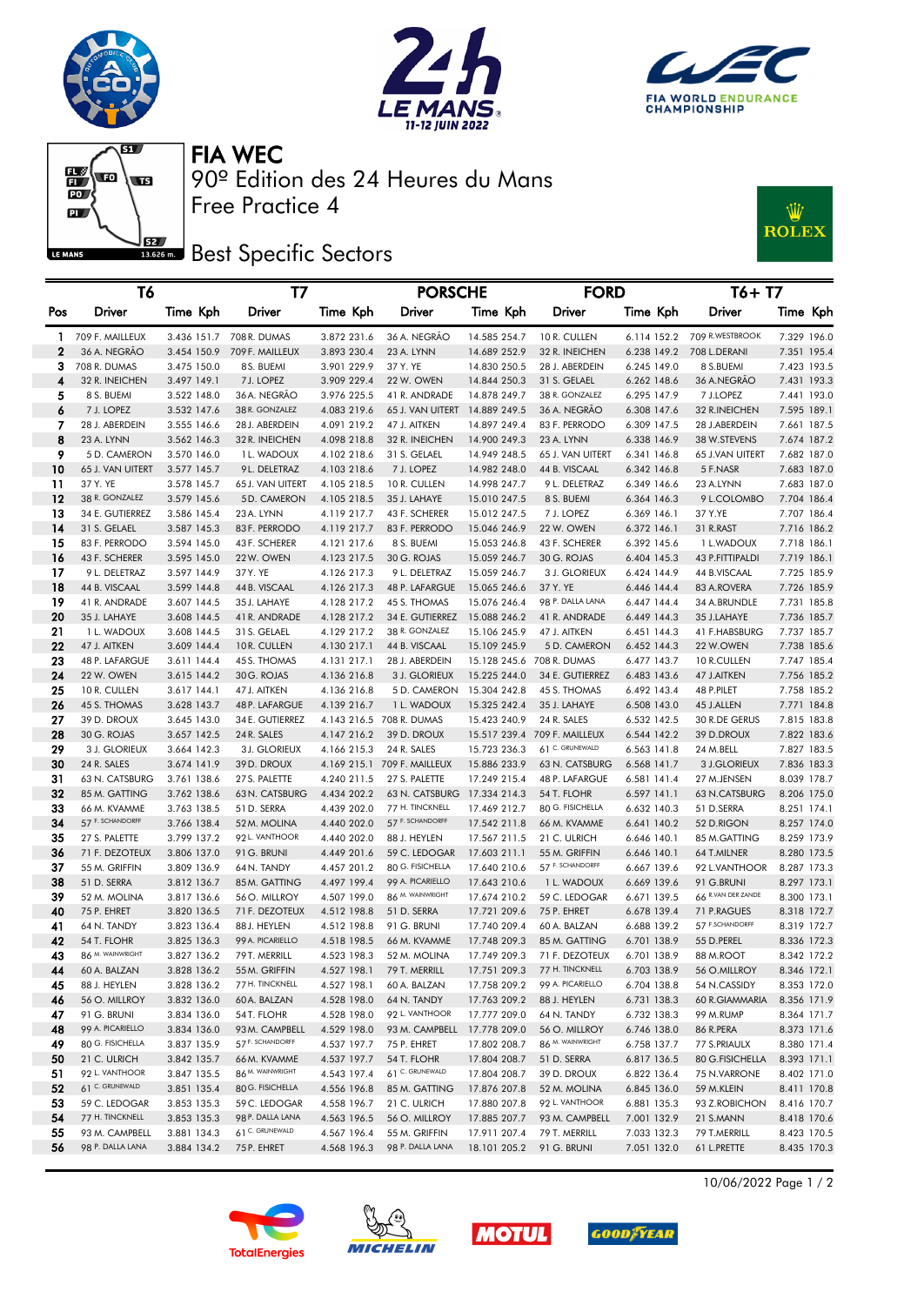







90º Edition des 24 Heures du Mans FIA WEC

**Best** Specific Sectors

Free Practice 4



|                   | Т6                           |                            | Т7                             |                            | <b>PORSCHE</b>              |                              | <b>FORD</b>                     |                            | T6+ T7                   |                            |
|-------------------|------------------------------|----------------------------|--------------------------------|----------------------------|-----------------------------|------------------------------|---------------------------------|----------------------------|--------------------------|----------------------------|
| Pos               | Driver                       | Time Kph                   | Driver                         | Time Kph                   | Driver                      | Time Kph                     | Driver                          | Time Kph                   | Driver                   | Time Kph                   |
|                   | 709 F. MAILLEUX              |                            | 3.436 151.7 708 R. DUMAS       |                            | 36 A. NEGRÃO                | 14.585 254.7                 | 10 R. CULLEN                    | 6.114 152.2                | 709 R.WESTBROOK          | 7.329 196.0                |
| 1<br>$\mathbf{z}$ | 36 A. NEGRÃO                 | 3.454 150.9                | 709 F. MAILLEUX                | 3.872 231.6<br>3.893 230.4 | 23 A. LYNN                  | 14.689 252.9                 | 32 R. INEICHEN                  | 6.238 149.2                | 708 L.DERANI             | 7.351 195.4                |
| З                 | 708 R. DUMAS                 | 3.475 150.0                | 8 S. BUEMI                     | 3.901 229.9                | 37 Y. YE                    | 14.830 250.5                 | 28 J. ABERDEIN                  | 6.245 149.0                | 8 S.BUEMI                | 7.423 193.5                |
| 4                 | 32 R. INEICHEN               | 3.497 149.1                | 7 J. LOPEZ                     | 3.909 229.4                | 22 W. OWEN                  | 14.844 250.3                 | 31 S. GELAEL                    | 6.262 148.6                | 36 A.NEGRÃO              | 7.431 193.3                |
| 5                 | 8 S. BUEMI                   | 3.522 148.0                | 36 A. NEGRÃO                   | 3.976 225.5                | 41 R. ANDRADE               | 14.878 249.7                 | 38 R. GONZALEZ                  | 6.295 147.9                | 7 J.LOPEZ                | 7.441 193.0                |
| 6                 | 7 J. LOPEZ                   | 3.532 147.6                | 38 R. GONZALEZ                 | 4.083 219.6                | 65 J. VAN UITERT            | 14.889 249.5                 | 36 A. NEGRAO                    | 6.308 147.6                | 32 R.INEICHEN            | 7.595 189.1                |
| 7                 | 28 J. ABERDEIN               | 3.555 146.6                | 28 J. ABERDEIN                 | 4.091 219.2                | 47 J. AITKEN                | 14.897 249.4                 | 83 F. PERRODO                   | 6.309 147.5                | 28 J.ABERDEIN            | 7.661 187.5                |
| 8                 | 23 A. LYNN                   | 3.562 146.3                | 32 R. INEICHEN                 | 4.098 218.8                | 32 R. INEICHEN              | 14.900 249.3                 | 23 A. LYNN                      | 6.338 146.9                | 38 W.STEVENS             | 7.674 187.2                |
| 9                 | 5 D. CAMERON                 | 3.570 146.0                | 1 L. WADOUX                    | 4.102 218.6                | 31 S. GELAEL                | 14.949 248.5                 | 65 J. VAN UITERT                | 6.341 146.8                | 65 J.VAN UITERT          | 7.682 187.0                |
| 10                | 65 J. VAN UITERT             | 3.577 145.7                | 9L. DELETRAZ                   | 4.103 218.6                | 7 J. LOPEZ                  | 14.982 248.0                 | 44 B. VISCAAL                   | 6.342 146.8                | 5 F.NASR                 | 7.683 187.0                |
| 11                | 37 Y. YE                     | 3.578 145.7                | 65 J. VAN UITERT               | 4.105 218.5                | 10 R. CULLEN                | 14.998 247.7                 | 9 L. DELETRAZ                   | 6.349 146.6                | 23 A.LYNN                | 7.683 187.0                |
| 12                | 38 R. GONZALEZ               | 3.579 145.6                | 5D. CAMERON                    | 4.105 218.5                | 35 J. LAHAYE                | 15.010 247.5                 | 8 S. BUEMI                      | 6.364 146.3                | 9 L.COLOMBO              | 7.704 186.4                |
| 13                | 34 E. GUTIERREZ              | 3.586 145.4                | 23 A. LYNN                     | 4.119 217.7                | 43 F. SCHERER               | 15.012 247.5                 | 7 J. LOPEZ                      | 6.369 146.1                | 37 Y.YE                  | 7.707 186.4                |
| 14                | 31 S. GELAEL                 | 3.587 145.3                | 83 F. PERRODO                  | 4.119 217.7                | 83 F. PERRODO               | 15.046 246.9                 | <b>22 W. OWEN</b>               | 6.372 146.1                | 31 R.RAST                | 7.716 186.2                |
| 15                | 83 F. PERRODO                | 3.594 145.0                | 43 F. SCHERER                  | 4.121 217.6                | 8 S. BUEMI                  | 15.053 246.8                 | 43 F. SCHERER                   | 6.392 145.6                | 1 L.WADOUX               | 7.718 186.1                |
| 16                | 43 F. SCHERER                | 3.595 145.0                | 22W. OWEN                      | 4.123 217.5                | 30 G. ROJAS                 | 15.059 246.7                 | 30 G. ROJAS                     | 6.404 145.3                | 43 P.FITTIPALDI          | 7.719 186.1                |
| 17                | 9 L. DELETRAZ                | 3.597 144.9                | 37 Y. YE                       | 4.126 217.3                | 9 L. DELETRAZ               | 15.059 246.7                 | 3 J. GLORIEUX                   | 6.424 144.9                | 44 B.VISCAAL             | 7.725 185.9                |
| 18                | 44 B. VISCAAL                | 3.599 144.8                | 44 B. VISCAAL                  | 4.126 217.3                | 48 P. LAFARGUE              | 15.065 246.6                 | 37 Y. YE                        | 6.446 144.4                | 83 A.ROVERA              | 7.726 185.9                |
| 19                | 41 R. ANDRADE                | 3.607 144.5                | 35 J. LAHAYE                   | 4.128 217.2                | 45 S. THOMAS                | 15.076 246.4                 | 98 P. DALLA LANA                | 6.447 144.4                | 34 A.BRUNDLE             | 7.731 185.8                |
| 20                | 35 J. LAHAYE                 | 3.608 144.5                | 41 R. ANDRADE                  | 4.128 217.2                | 34 E. GUTIERREZ             | 15.088 246.2                 | 41 R. ANDRADE                   | 6.449 144.3                | 35 J.LAHAYE              | 7.736 185.7                |
| 21                | 1 L. WADOUX                  | 3.608 144.5                | 31 S. GELAEL                   | 4.129 217.2                | 38 R. GONZALEZ              | 15.106 245.9                 | 47 J. AITKEN                    | 6.451 144.3                | 41 F.HABSBURG            | 7.737 185.7                |
| 22                | 47 J. AITKEN                 | 3.609 144.4                | 10R. CULLEN                    | 4.130 217.1                | 44 B. VISCAAL               | 15.109 245.9                 | 5 D. CAMERON                    | 6.452 144.3                | 22 W.OWEN                | 7.738 185.6                |
| 23                | 48 P. LAFARGUE               | 3.611 144.4                | 45 S. THOMAS                   | 4.131 217.1                | 28 J. ABERDEIN              |                              | 15.128 245.6 708 R. DUMAS       | 6.477 143.7                | 10 R.CULLEN              | 7.747 185.4                |
| 24                | 22 W. OWEN                   | 3.615 144.2                | 30 G. ROJAS                    | 4.136 216.8                | 3 J. GLORIEUX               | 15.225 244.0                 | 34 E. GUTIERREZ<br>45 S. THOMAS | 6.483 143.6                | 47 J.AITKEN              | 7.756 185.2                |
| 25<br>26          | 10 R. CULLEN<br>45 S. THOMAS | 3.617 144.1<br>3.628 143.7 | 47 J. AITKEN<br>48 P. LAFARGUE | 4.136 216.8<br>4.139 216.7 | 5 D. CAMERON<br>1 L. WADOUX | 15.304 242.8<br>15.325 242.4 | 35 J. LAHAYE                    | 6.492 143.4<br>6.508 143.0 | 48 P.PILET<br>45 J.ALLEN | 7.758 185.2<br>7.771 184.8 |
| 27                | 39 D. DROUX                  | 3.645 143.0                | 34 E. GUTIERREZ                |                            | 4.143 216.5 708 R. DUMAS    | 15.423 240.9                 | 24 R. SALES                     | 6.532 142.5                | 30 R.DE GERUS            | 7.815 183.8                |
| 28                | 30 G. ROJAS                  | 3.657 142.5                | 24 R. SALES                    | 4.147 216.2                | 39 D. DROUX                 | 15.517 239.4                 | 709 F. MAILLEUX                 | 6.544 142.2                | 39 D.DROUX               | 7.822 183.6                |
| 29                | 3 J. GLORIEUX                | 3.664 142.3                | 3 J. GLORIEUX                  | 4.166 215.3                | 24 R. SALES                 | 15.723 236.3                 | 61 C. GRUNEWALD                 | 6.563 141.8                | 24 M.BELL                | 7.827 183.5                |
| 30                | 24 R. SALES                  | 3.674 141.9                | 39 D. DROUX                    |                            | 4.169 215.1 709 F. MAILLEUX | 15.886 233.9                 | 63 N. CATSBURG                  | 6.568 141.7                | 3 J.GLORIEUX             | 7.836 183.3                |
| 31                | 63 N. CATSBURG               | 3.761 138.6                | 27 S. PALETTE                  | 4.240 211.5                | 27 S. PALETTE               | 17.249 215.4                 | 48 P. LAFARGUE                  | 6.581 141.4                | 27 M.JENSEN              | 8.039 178.7                |
| 32                | 85 M. GATTING                | 3.762 138.6                | 63 N. CATSBURG                 | 4.434 202.2                | 63 N. CATSBURG              | 17.334 214.3                 | 54 T. FLOHR                     | 6.597 141.1                | 63 N.CATSBURG            | 8.206 175.0                |
| 33                | 66 M. KVAMME                 | 3.763 138.5                | 51 D. SERRA                    | 4.439 202.0                | 77 H. TINCKNELL             | 17.469 212.7                 | 80 G. FISICHELLA                | 6.632 140.3                | 51 D.SERRA               | 8.251 174.1                |
| 34                | 57 F. SCHANDORFF             | 3.766 138.4                | 52 M. MOLINA                   | 4.440 202.0                | 57 F. SCHANDORFF            | 17.542 211.8                 | 66 M. KVAMME                    | 6.641 140.2                | 52 D.RIGON               | 8.257 174.0                |
| 35                | 27 S. PALETTE                | 3.799 137.2                | 92 L. VANTHOOR                 | 4.440 202.0                | 88 J. HEYLEN                | 17.567 211.5                 | 21 C. ULRICH                    | 6.646 140.1                | 85 M.GATTING             | 8.259 173.9                |
| 36                | 71 F. DEZOTEUX               | 3.806 137.0                | 91 G. BRUNI                    | 4.449 201.6                | 59 C. LEDOGAR               | 17.603 211.1                 | 55 M. GRIFFIN                   | 6.646 140.1                | 64 T.MILNER              | 8.280 173.5                |
| 37                | 55 M. GRIFFIN                | 3.809 136.9                | 64 N. TANDY                    | 4.457 201.2                | 80 G. FISICHELLA            | 17.640 210.6                 | 57 F. SCHANDORFF                | 6.667 139.6                | 92 L.VANTHOOR            | 8.287 173.3                |
| 38                | 51 D. SERRA                  | 3.812 136.7                | 85 M. GATTING                  | 4.497 199.4                | 99 A. PICARIELLO            | 17.643 210.6                 | 1 L. WADOUX                     | 6.669 139.6                | 91 G.BRUNI               | 8.297 173.1                |
| 39                | 52 M. MOLINA                 | 3.817 136.6                | 56 O. MILLROY                  | 4.507 199.0                | 86 M. WAINWRIGHT            | 17.674 210.2                 | 59 C. LEDOGAR                   | 6.671 139.5                | 66 R.VAN DER ZANDE       | 8.300 173.1                |
| 40                | 75 P. EHRET                  | 3.820 136.5                | 71 F. DEZOTEUX                 | 4.512 198.8                | 51 D. SERRA                 | 17.721 209.6                 | 75 P. EHRET                     | 6.678 139.4                | 71 P.RAGUES              | 8.318 172.7                |
| 41                | 64 N. TANDY                  | 3.823 136.4                | 88 J. HEYLEN                   | 4.512 198.8                | 91 G. BRUNI                 | 17.740 209.4                 | 60 A. BALZAN                    | 6.688 139.2                | 57 F.SCHANDORFF          | 8.319 172.7                |
| 42                | 54 T. FLOHR                  | 3.825 136.3                | 99 A. PICARIELLO               | 4.518 198.5                | 66 M. KVAMME                | 17.748 209.3                 | 85 M. GATTING                   | 6.701 138.9                | 55 D.PEREL               | 8.336 172.3                |
| 43                | 86 M. WAINWRIGHT             | 3.827 136.2                | 79 T. MERRILL                  | 4.523 198.3                | 52 M. MOLINA                | 17.749 209.3                 | 71 F. DEZOTEUX                  | 6.701 138.9                | 88 M.ROOT                | 8.342 172.2                |
| 44                | 60 A. BALZAN                 | 3.828 136.2                | 55 M. GRIFFIN                  | 4.527 198.1                | 79 T. MERRILL               | 17.751 209.3                 | 77 H. TINCKNELL                 | 6.703 138.9                | 56 O.MILLROY             | 8.346 172.1                |
| 45                | 88 J. HEYLEN                 | 3.828 136.2                | 77 H. TINCKNELL                | 4.527 198.1                | 60 A. BALZAN                | 17.758 209.2                 | 99 A. PICARIELLO                | 6.704 138.8                | 54 N.CASSIDY             | 8.353 172.0                |
| 46                | 56 O. MILLROY                | 3.832 136.0                | 60 A. BALZAN                   | 4.528 198.0                | 64 N. TANDY                 | 17.763 209.2                 | 88 J. HEYLEN                    | 6.731 138.3                | 60 R.GIAMMARIA           | 8.356 171.9                |
| 47                | 91 G. BRUNI                  | 3.834 136.0                | 54 T. FLOHR                    | 4.528 198.0                | 92 L. VANTHOOR              | 17.777 209.0                 | 64 N. TANDY                     | 6.732 138.3                | 99 M.RUMP                | 8.364 171.7                |
| 48                | 99 A. PICARIELLO             | 3.834 136.0                | 93 M. CAMPBELL                 | 4.529 198.0                | 93 M. CAMPBELL              | 17.778 209.0                 | 56 O. MILLROY                   | 6.746 138.0                | 86 R.PERA                | 8.373 171.6                |
| 49                | 80 G. FISICHELLA             | 3.837 135.9                | 57 F. SCHANDORFF               | 4.537 197.7                | 75 P. EHRET                 | 17.802 208.7                 | 86 M. WAINWRIGHT                | 6.758 137.7                | 77 S.PRIAULX             | 8.380 171.4                |
| 50                | 21 C. ULRICH                 | 3.842 135.7                | 66M. KVAMME                    | 4.537 197.7                | 54 T. FLOHR                 | 17.804 208.7                 | 51 D. SERRA                     | 6.817 136.5                | 80 G.FISICHELLA          | 8.393 171.1                |
| 51                | 92 L. VANTHOOR               | 3.847 135.5                | 86 M. WAINWRIGHT               | 4.543 197.4                | 61 C. GRUNEWALD             | 17.804 208.7                 | 39 D. DROUX                     | 6.822 136.4                | 75 N.VARRONE             | 8.402 171.0                |
| 52                | 61 C. GRUNEWALD              | 3.851 135.4                | 80 G. FISICHELLA               | 4.556 196.8                | 85 M. GATTING               | 17.876 207.8                 | 52 M. MOLINA                    | 6.845 136.0                | 59 M.KLEIN               | 8.411 170.8                |
| 53                | 59 C. LEDOGAR                | 3.853 135.3                | 59 C. LEDOGAR                  | 4.558 196.7                | 21 C. ULRICH                | 17.880 207.8                 | 92 L. VANTHOOR                  | 6.881 135.3                | 93 Z.ROBICHON            | 8.416 170.7                |
| 54                | 77 H. TINCKNELL              | 3.853 135.3                | 98 P. DALLA LANA               | 4.563 196.5                | 56 O. MILLROY               | 17.885 207.7                 | 93 M. CAMPBELL                  | 7.001 132.9                | 21 S.MANN                | 8.418 170.6                |
| 55                | 93 M. CAMPBELL               | 3.881 134.3                | 61 C. GRUNEWALD                | 4.567 196.4                | 55 M. GRIFFIN               | 17.911 207.4                 | 79 T. MERRILL                   | 7.033 132.3                | 79 T.MERRILL             | 8.423 170.5                |
| 56                | 98 P. DALLA LANA             | 3.884 134.2                | 75 P. EHRET                    | 4.568 196.3                | 98 P. DALLA LANA            | 18.101 205.2                 | 91 G. BRUNI                     | 7.051 132.0                | 61 L.PRETTE              | 8.435 170.3                |









10/06/2022 Page 1 / 2